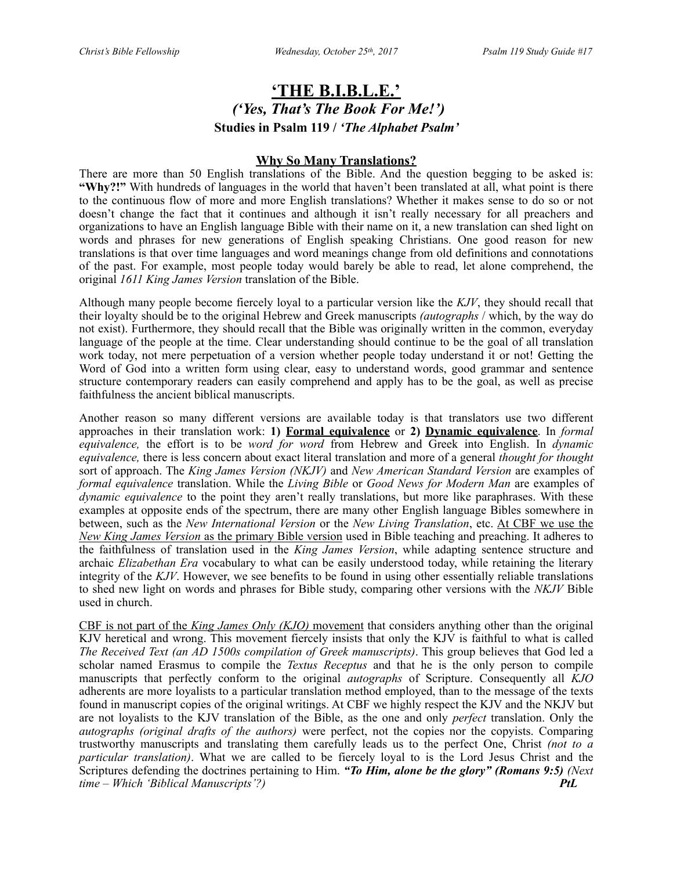# **'THE B.I.B.L.E.'**  *('Yes, That's The Book For Me!')*  **Studies in Psalm 119 /** *'The Alphabet Psalm'*

#### **Why So Many Translations?**

There are more than 50 English translations of the Bible. And the question begging to be asked is: **"Why?!"** With hundreds of languages in the world that haven't been translated at all, what point is there to the continuous flow of more and more English translations? Whether it makes sense to do so or not doesn't change the fact that it continues and although it isn't really necessary for all preachers and organizations to have an English language Bible with their name on it, a new translation can shed light on words and phrases for new generations of English speaking Christians. One good reason for new translations is that over time languages and word meanings change from old definitions and connotations of the past. For example, most people today would barely be able to read, let alone comprehend, the original *1611 King James Version* translation of the Bible.

Although many people become fiercely loyal to a particular version like the *KJV*, they should recall that their loyalty should be to the original Hebrew and Greek manuscripts *(autographs* / which, by the way do not exist). Furthermore, they should recall that the Bible was originally written in the common, everyday language of the people at the time. Clear understanding should continue to be the goal of all translation work today, not mere perpetuation of a version whether people today understand it or not! Getting the Word of God into a written form using clear, easy to understand words, good grammar and sentence structure contemporary readers can easily comprehend and apply has to be the goal, as well as precise faithfulness the ancient biblical manuscripts.

Another reason so many different versions are available today is that translators use two different approaches in their translation work: **1) Formal equivalence** or **2) Dynamic equivalence**. In *formal equivalence,* the effort is to be *word for word* from Hebrew and Greek into English. In *dynamic equivalence,* there is less concern about exact literal translation and more of a general *thought for thought* sort of approach. The *King James Version (NKJV)* and *New American Standard Version* are examples of *formal equivalence* translation. While the *Living Bible* or *Good News for Modern Man* are examples of *dynamic equivalence* to the point they aren't really translations, but more like paraphrases. With these examples at opposite ends of the spectrum, there are many other English language Bibles somewhere in between, such as the *New International Version* or the *New Living Translation*, etc. At CBF we use the *New King James Version* as the primary Bible version used in Bible teaching and preaching. It adheres to the faithfulness of translation used in the *King James Version*, while adapting sentence structure and archaic *Elizabethan Era* vocabulary to what can be easily understood today, while retaining the literary integrity of the *KJV*. However, we see benefits to be found in using other essentially reliable translations to shed new light on words and phrases for Bible study, comparing other versions with the *NKJV* Bible used in church.

CBF is not part of the *King James Only (KJO)* movement that considers anything other than the original KJV heretical and wrong. This movement fiercely insists that only the KJV is faithful to what is called *The Received Text (an AD 1500s compilation of Greek manuscripts)*. This group believes that God led a scholar named Erasmus to compile the *Textus Receptus* and that he is the only person to compile manuscripts that perfectly conform to the original *autographs* of Scripture. Consequently all *KJO* adherents are more loyalists to a particular translation method employed, than to the message of the texts found in manuscript copies of the original writings. At CBF we highly respect the KJV and the NKJV but are not loyalists to the KJV translation of the Bible, as the one and only *perfect* translation. Only the *autographs (original drafts of the authors)* were perfect, not the copies nor the copyists. Comparing trustworthy manuscripts and translating them carefully leads us to the perfect One, Christ *(not to a particular translation)*. What we are called to be fiercely loyal to is the Lord Jesus Christ and the Scriptures defending the doctrines pertaining to Him. *"To Him, alone be the glory" (Romans 9:5) (Next time – Which 'Biblical Manuscripts'?) PtL*